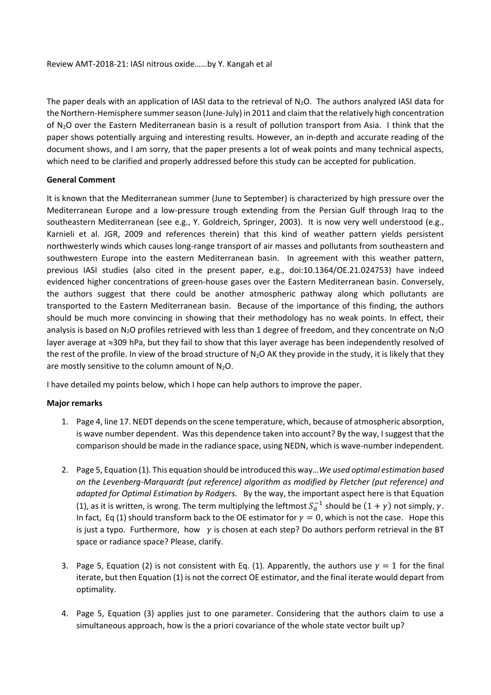The paper deals with an application of IASI data to the retrieval of  $N_2O$ . The authors analyzed IASI data for the Northern-Hemisphere summer season (June-July) in 2011 and claim that the relatively high concentration of N2O over the Eastern Mediterranean basin is a result of pollution transport from Asia. I think that the paper shows potentially arguing and interesting results. However, an in-depth and accurate reading of the document shows, and I am sorry, that the paper presents a lot of weak points and many technical aspects, which need to be clarified and properly addressed before this study can be accepted for publication.

## **General Comment**

It is known that the Mediterranean summer (June to September) is characterized by high pressure over the Mediterranean Europe and a low-pressure trough extending from the Persian Gulf through Iraq to the southeastern Mediterranean (see e.g., Y. Goldreich, Springer, 2003). It is now very well understood (e.g., Karnieli et al. JGR, 2009 and references therein) that this kind of weather pattern yields persistent northwesterly winds which causes long-range transport of air masses and pollutants from southeastern and southwestern Europe into the eastern Mediterranean basin. In agreement with this weather pattern, previous IASI studies (also cited in the present paper, e.g., doi:10.1364/OE.21.024753) have indeed evidenced higher concentrations of green-house gases over the Eastern Mediterranean basin. Conversely, the authors suggest that there could be another atmospheric pathway along which pollutants are transported to the Eastern Mediterranean basin. Because of the importance of this finding, the authors should be much more convincing in showing that their methodology has no weak points. In effect, their analysis is based on  $N_2O$  profiles retrieved with less than 1 degree of freedom, and they concentrate on  $N_2O$ layer average at  $\approx$ 309 hPa, but they fail to show that this layer average has been independently resolved of the rest of the profile. In view of the broad structure of  $N_2O$  AK they provide in the study, it is likely that they are mostly sensitive to the column amount of  $N_2O$ .

I have detailed my points below, which I hope can help authors to improve the paper.

## **Major remarks**

- 1. Page 4, line 17. NEDT depends on the scene temperature, which, because of atmospheric absorption, is wave number dependent. Was this dependence taken into account? By the way, I suggest that the comparison should be made in the radiance space, using NEDN, which is wave-number independent.
- 2. Page 5, Equation (1). This equation should be introduced this way…*We used optimal estimation based on the Levenberg-Marquardt (put reference) algorithm as modified by Fletcher (put reference) and adapted for Optimal Estimation by Rodgers.* By the way, the important aspect here is that Equation (1), as it is written, is wrong. The term multiplying the leftmost  $S_a^{-1}$  should be  $(1 + \gamma)$  not simply,  $\gamma$ . In fact, Eq (1) should transform back to the OE estimator for  $\gamma = 0$ , which is not the case. Hope this is just a typo. Furthermore, how  $y$  is chosen at each step? Do authors perform retrieval in the BT space or radiance space? Please, clarify.
- 3. Page 5, Equation (2) is not consistent with Eq. (1). Apparently, the authors use  $\gamma = 1$  for the final iterate, but then Equation (1) is not the correct OE estimator, and the final iterate would depart from optimality.
- 4. Page 5, Equation (3) applies just to one parameter. Considering that the authors claim to use a simultaneous approach, how is the a priori covariance of the whole state vector built up?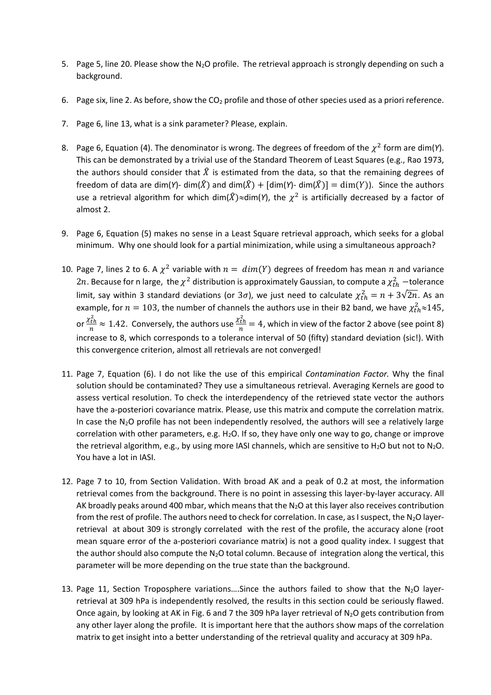- 5. Page 5, line 20. Please show the N<sub>2</sub>O profile. The retrieval approach is strongly depending on such a background.
- 6. Page six, line 2. As before, show the  $CO<sub>2</sub>$  profile and those of other species used as a priori reference.
- 7. Page 6, line 13, what is a sink parameter? Please, explain.
- 8. Page 6, Equation (4). The denominator is wrong. The degrees of freedom of the  $\chi^2$  form are dim(Y). This can be demonstrated by a trivial use of the Standard Theorem of Least Squares (e.g., Rao 1973, the authors should consider that  $\hat{X}$  is estimated from the data, so that the remaining degrees of freedom of data are dim(*Y*)- dim( $\hat{X}$ ) and dim( $\hat{X}$ ) + [dim(*Y*)- dim( $\hat{X}$ )] = dim(*Y*)). Since the authors use a retrieval algorithm for which dim( $\hat{X}$ ) $\approx$ dim(Y), the  $\chi^2$  is artificially decreased by a factor of almost 2.
- 9. Page 6, Equation (5) makes no sense in a Least Square retrieval approach, which seeks for a global minimum. Why one should look for a partial minimization, while using a simultaneous approach?
- 10. Page 7, lines 2 to 6. A  $\chi^2$  variable with  $n = dim(Y)$  degrees of freedom has mean  $n$  and variance 2n. Because for n large, the  $\chi^2$  distribution is approximately Gaussian, to compute a  $\chi^2_{th}$  —tolerance limit, say within 3 standard deviations (or 3 $\sigma$ ), we just need to calculate  $\chi^2_{th} = n + 3\sqrt{2n}$ . As an example, for  $n = 103$ , the number of channels the authors use in their B2 band, we have  $\chi^2_{th} \approx 145$ , or  $\frac{\chi^2_{th}}{n}$  $\frac{c_{th}^2}{n} \approx 1.42$ . Conversely, the authors use  $\frac{\chi^2_{th}}{n}$  $\frac{t\cdot th}{n}$  = 4, which in view of the factor 2 above (see point 8) increase to 8, which corresponds to a tolerance interval of 50 (fifty) standard deviation (sic!). With this convergence criterion, almost all retrievals are not converged!
- 11. Page 7, Equation (6). I do not like the use of this empirical *Contamination Factor.* Why the final solution should be contaminated? They use a simultaneous retrieval. Averaging Kernels are good to assess vertical resolution. To check the interdependency of the retrieved state vector the authors have the a-posteriori covariance matrix. Please, use this matrix and compute the correlation matrix. In case the  $N_2O$  profile has not been independently resolved, the authors will see a relatively large correlation with other parameters, e.g. H<sub>2</sub>O. If so, they have only one way to go, change or improve the retrieval algorithm, e.g., by using more IASI channels, which are sensitive to H<sub>2</sub>O but not to N<sub>2</sub>O. You have a lot in IASI.
- 12. Page 7 to 10, from Section Validation. With broad AK and a peak of 0.2 at most, the information retrieval comes from the background. There is no point in assessing this layer-by-layer accuracy. All AK broadly peaks around 400 mbar, which means that the  $N_2O$  at this layer also receives contribution from the rest of profile. The authors need to check for correlation. In case, as I suspect, the N<sub>2</sub>O layerretrieval at about 309 is strongly correlated with the rest of the profile, the accuracy alone (root mean square error of the a-posteriori covariance matrix) is not a good quality index. I suggest that the author should also compute the  $N_2O$  total column. Because of integration along the vertical, this parameter will be more depending on the true state than the background.
- 13. Page 11, Section Troposphere variations....Since the authors failed to show that the  $N_2O$  layerretrieval at 309 hPa is independently resolved, the results in this section could be seriously flawed. Once again, by looking at AK in Fig. 6 and 7 the 309 hPa layer retrieval of N2O gets contribution from any other layer along the profile. It is important here that the authors show maps of the correlation matrix to get insight into a better understanding of the retrieval quality and accuracy at 309 hPa.